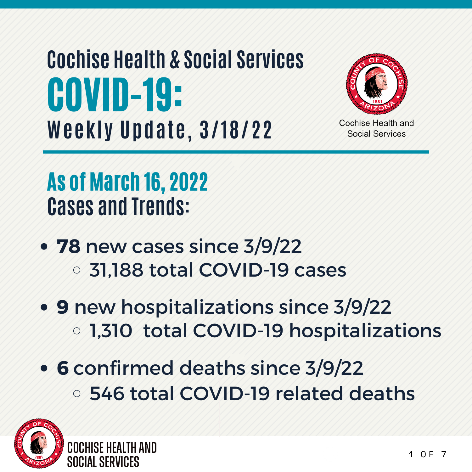# COVID-19: **Weekly Update, 3/18/22 Cochise Health & Social Services**



Cochise Health and **Social Services** 

# As of March 16, 2022 **Cases and Trends:**

- **78** new cases since 3/9/22 31,188 total COVID-19 cases
- **9** new hospitalizations since 3/9/22 1,310 total COVID-19 hospitalizations
- **6** confirmed deaths since 3/9/22 546 total COVID-19 related deaths

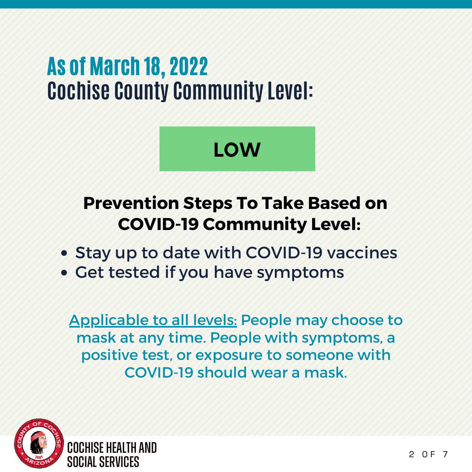# As of March 18, 2022 **Cochise County Community Level:**



#### **Prevention Steps To Take Based on COVID-19 Community Level:**

- Stay up to date with COVID-19 vaccines
- Get tested if you have symptoms

Applicable to all levels: People may choose to mask at any time. People with symptoms, a positive test, or exposure to someone with COVID-19 should wear a mask.

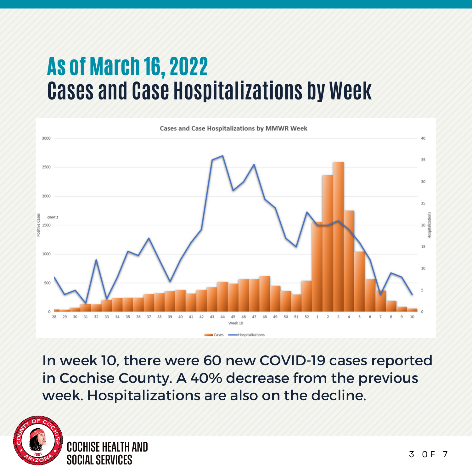# As of March 16, 2022 **Cases and Case Hospitalizations by Week**



In week 10, there were 60 new COVID-19 cases reported in Cochise County. A 40% decrease from the previous week. Hospitalizations are also on the decline.

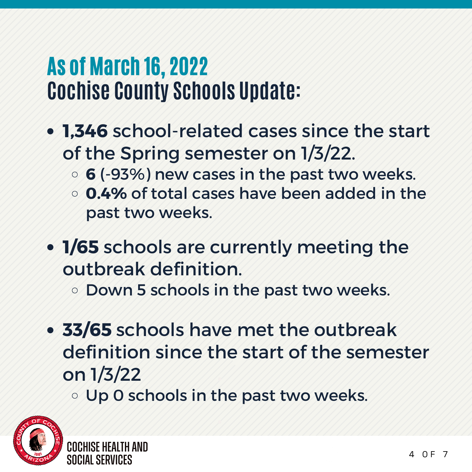# As of March 16, 2022 **Cochise County Schools Update:**

- **1,346** school-related cases since the start of the Spring semester on 1/3/22.
	- **6** (-93%) new cases in the past two weeks.
	- **0.4%** of total cases have been added in the past two weeks.
- **1/65** schools are currently meeting the outbreak definition.

**O Down 5 schools in the past two weeks.** 

**33/65** schools have met the outbreak definition since the start of the semester on 1/3/22

Up 0 schools in the past two weeks.

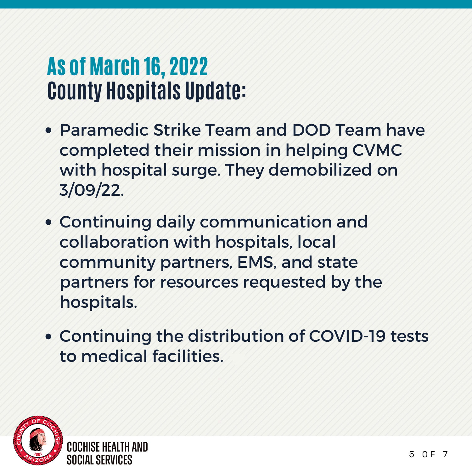#### As of March 16, 2022 **County Hospitals Update:**

- Paramedic Strike Team and DOD Team have completed their mission in helping CVMC with hospital surge. They demobilized on 3/09/22.
- Continuing daily communication and collaboration with hospitals, local community partners, EMS, and state partners for resources requested by the hospitals.
- Continuing the distribution of COVID-19 tests to medical facilities.

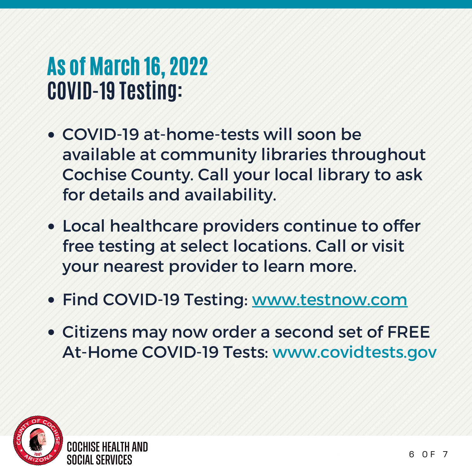#### As of March 16, 2022 **COVID-19 Testing:**

- COVID-19 at-home-tests will soon be available at community libraries throughout Cochise County. Call your local library to ask for details and availability.
- Local healthcare providers continue to offer free testing at select locations. Call or visit your nearest provider to learn more.
- Find COVID-19 Testing: www.testnow.com
- Citizens may now order a second set of FREE At-Home COVID-19 Tests: www.covidtests.gov